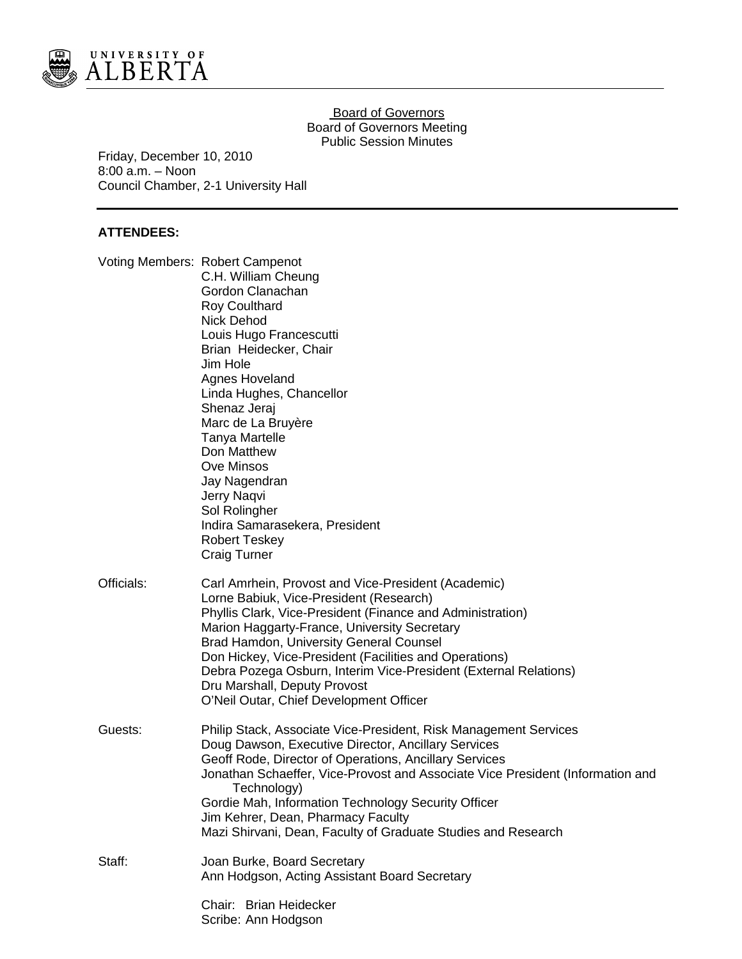

## Board of Governors Board of Governors Meeting Public Session Minutes

Friday, December 10, 2010 8:00 a.m. – Noon Council Chamber, 2-1 University Hall

# **ATTENDEES:**

|            | Voting Members: Robert Campenot<br>C.H. William Cheung<br>Gordon Clanachan<br><b>Roy Coulthard</b><br><b>Nick Dehod</b><br>Louis Hugo Francescutti<br>Brian Heidecker, Chair<br>Jim Hole<br>Agnes Hoveland<br>Linda Hughes, Chancellor<br>Shenaz Jeraj<br>Marc de La Bruyère<br><b>Tanya Martelle</b><br>Don Matthew<br>Ove Minsos<br>Jay Nagendran<br>Jerry Naqvi<br>Sol Rolingher<br>Indira Samarasekera, President<br><b>Robert Teskey</b><br><b>Craig Turner</b> |
|------------|----------------------------------------------------------------------------------------------------------------------------------------------------------------------------------------------------------------------------------------------------------------------------------------------------------------------------------------------------------------------------------------------------------------------------------------------------------------------|
| Officials: | Carl Amrhein, Provost and Vice-President (Academic)<br>Lorne Babiuk, Vice-President (Research)<br>Phyllis Clark, Vice-President (Finance and Administration)<br>Marion Haggarty-France, University Secretary<br>Brad Hamdon, University General Counsel<br>Don Hickey, Vice-President (Facilities and Operations)<br>Debra Pozega Osburn, Interim Vice-President (External Relations)<br>Dru Marshall, Deputy Provost<br>O'Neil Outar, Chief Development Officer     |
| Guests:    | Philip Stack, Associate Vice-President, Risk Management Services<br>Doug Dawson, Executive Director, Ancillary Services<br>Geoff Rode, Director of Operations, Ancillary Services<br>Jonathan Schaeffer, Vice-Provost and Associate Vice President (Information and<br>Technology)<br>Gordie Mah, Information Technology Security Officer<br>Jim Kehrer, Dean, Pharmacy Faculty<br>Mazi Shirvani, Dean, Faculty of Graduate Studies and Research                     |
| Staff:     | Joan Burke, Board Secretary<br>Ann Hodgson, Acting Assistant Board Secretary                                                                                                                                                                                                                                                                                                                                                                                         |
|            | Chair: Brian Heidecker<br>Scribe: Ann Hodgson                                                                                                                                                                                                                                                                                                                                                                                                                        |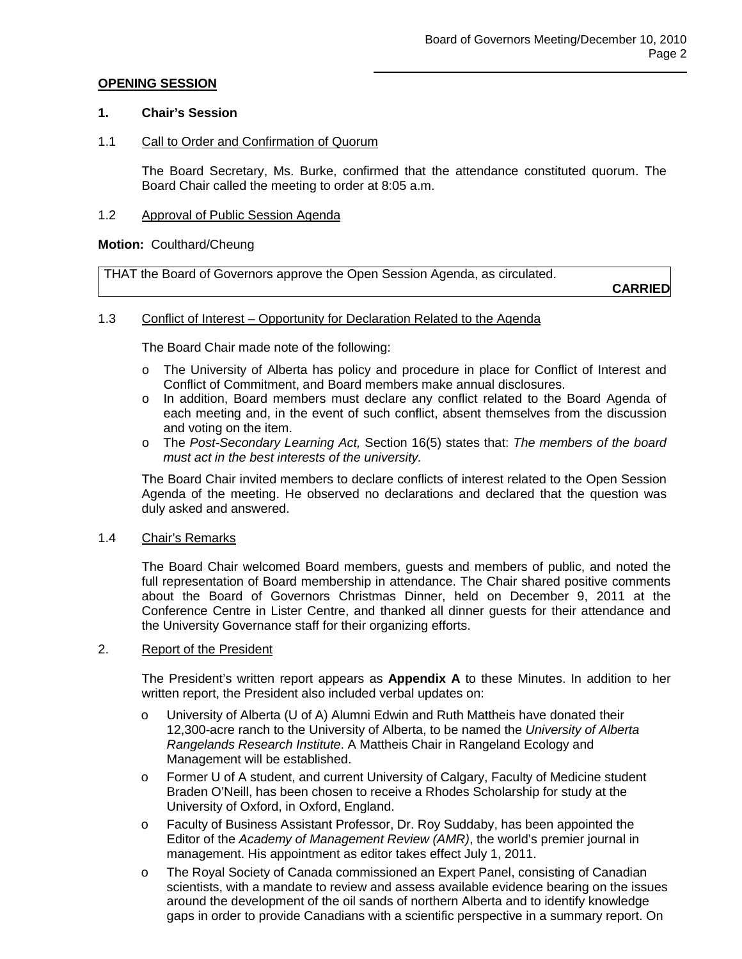## **OPENING SESSION**

## **1. Chair's Session**

## 1.1 Call to Order and Confirmation of Quorum

The Board Secretary, Ms. Burke, confirmed that the attendance constituted quorum. The Board Chair called the meeting to order at 8:05 a.m.

## 1.2 Approval of Public Session Agenda

### **Motion:** Coulthard/Cheung

THAT the Board of Governors approve the Open Session Agenda, as circulated.

**CARRIED**

## 1.3 Conflict of Interest – Opportunity for Declaration Related to the Agenda

The Board Chair made note of the following:

- o The University of Alberta has policy and procedure in place for Conflict of Interest and Conflict of Commitment, and Board members make annual disclosures.
- o In addition, Board members must declare any conflict related to the Board Agenda of each meeting and, in the event of such conflict, absent themselves from the discussion and voting on the item.
- o The *Post-Secondary Learning Act,* Section 16(5) states that: *The members of the board must act in the best interests of the university.*

The Board Chair invited members to declare conflicts of interest related to the Open Session Agenda of the meeting. He observed no declarations and declared that the question was duly asked and answered.

### 1.4 Chair's Remarks

The Board Chair welcomed Board members, guests and members of public, and noted the full representation of Board membership in attendance. The Chair shared positive comments about the Board of Governors Christmas Dinner, held on December 9, 2011 at the Conference Centre in Lister Centre, and thanked all dinner guests for their attendance and the University Governance staff for their organizing efforts.

### 2. Report of the President

The President's written report appears as **Appendix A** to these Minutes. In addition to her written report, the President also included verbal updates on:

- o University of Alberta (U of A) Alumni Edwin and Ruth Mattheis have donated their 12,300-acre ranch to the University of Alberta, to be named the *University of Alberta Rangelands Research Institute*. A Mattheis Chair in Rangeland Ecology and Management will be established.
- o Former U of A student, and current University of Calgary, Faculty of Medicine student Braden O'Neill, has been chosen to receive a Rhodes Scholarship for study at the University of Oxford, in Oxford, England.
- o Faculty of Business Assistant Professor, Dr. Roy Suddaby, has been appointed the Editor of the *Academy of Management Review (AMR)*, the world's premier journal in management. His appointment as editor takes effect July 1, 2011.
- o The Royal Society of Canada commissioned an Expert Panel, consisting of Canadian scientists, with a mandate to review and assess available evidence bearing on the issues around the development of the oil sands of northern Alberta and to identify knowledge gaps in order to provide Canadians with a scientific perspective in a summary report. On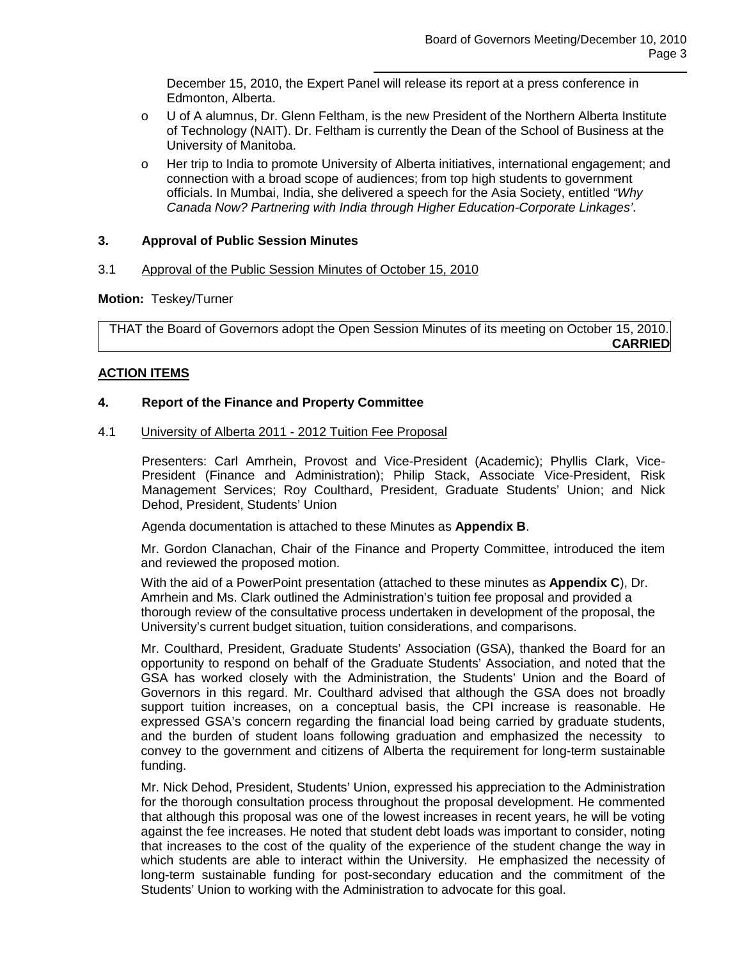December 15, 2010, the Expert Panel will release its report at a press conference in Edmonton, Alberta.

- o U of A alumnus, Dr. Glenn Feltham, is the new President of the Northern Alberta Institute of Technology (NAIT). Dr. Feltham is currently the Dean of the School of Business at the University of Manitoba.
- o Her trip to India to promote University of Alberta initiatives, international engagement; and connection with a broad scope of audiences; from top high students to government officials. In Mumbai, India, she delivered a speech for the Asia Society, entitled *"Why Canada Now? Partnering with India through Higher Education-Corporate Linkages'*.

# **3. Approval of Public Session Minutes**

## 3.1 Approval of the Public Session Minutes of October 15, 2010

## **Motion:** Teskey/Turner

THAT the Board of Governors adopt the Open Session Minutes of its meeting on October 15, 2010. **CARRIED**

# **ACTION ITEMS**

## **4. Report of the Finance and Property Committee**

### 4.1 University of Alberta 2011 - 2012 Tuition Fee Proposal

Presenters: Carl Amrhein, Provost and Vice-President (Academic); Phyllis Clark, Vice-President (Finance and Administration); Philip Stack, Associate Vice-President, Risk Management Services; Roy Coulthard, President, Graduate Students' Union; and Nick Dehod, President, Students' Union

Agenda documentation is attached to these Minutes as **Appendix B**.

Mr. Gordon Clanachan, Chair of the Finance and Property Committee, introduced the item and reviewed the proposed motion.

With the aid of a PowerPoint presentation (attached to these minutes as **Appendix C**), Dr. Amrhein and Ms. Clark outlined the Administration's tuition fee proposal and provided a thorough review of the consultative process undertaken in development of the proposal, the University's current budget situation, tuition considerations, and comparisons.

Mr. Coulthard, President, Graduate Students' Association (GSA), thanked the Board for an opportunity to respond on behalf of the Graduate Students' Association, and noted that the GSA has worked closely with the Administration, the Students' Union and the Board of Governors in this regard. Mr. Coulthard advised that although the GSA does not broadly support tuition increases, on a conceptual basis, the CPI increase is reasonable. He expressed GSA's concern regarding the financial load being carried by graduate students, and the burden of student loans following graduation and emphasized the necessity to convey to the government and citizens of Alberta the requirement for long-term sustainable funding.

Mr. Nick Dehod, President, Students' Union, expressed his appreciation to the Administration for the thorough consultation process throughout the proposal development. He commented that although this proposal was one of the lowest increases in recent years, he will be voting against the fee increases. He noted that student debt loads was important to consider, noting that increases to the cost of the quality of the experience of the student change the way in which students are able to interact within the University. He emphasized the necessity of long-term sustainable funding for post-secondary education and the commitment of the Students' Union to working with the Administration to advocate for this goal.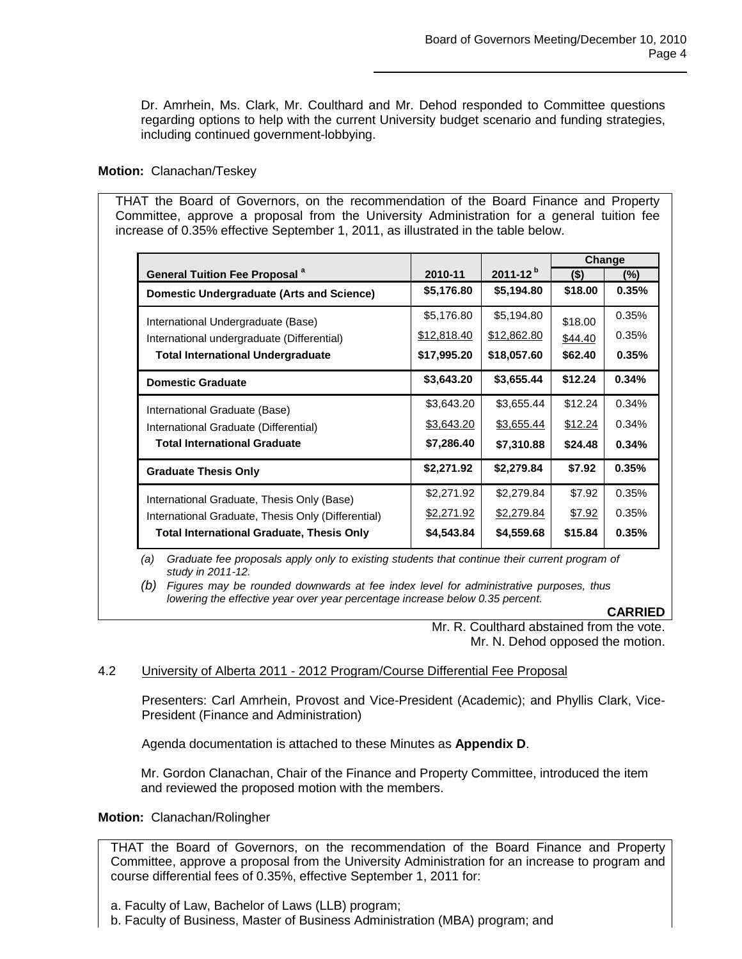Dr. Amrhein, Ms. Clark, Mr. Coulthard and Mr. Dehod responded to Committee questions regarding options to help with the current University budget scenario and funding strategies, including continued government-lobbying.

# **Motion:** Clanachan/Teskey

THAT the Board of Governors, on the recommendation of the Board Finance and Property Committee, approve a proposal from the University Administration for a general tuition fee increase of 0.35% effective September 1, 2011, as illustrated in the table below.

|                                                    |             |                 | Change  |       |
|----------------------------------------------------|-------------|-----------------|---------|-------|
| <b>General Tuition Fee Proposal <sup>a</sup></b>   | 2010-11     | $2011 - 12^{b}$ | $($ \$) | (%)   |
| <b>Domestic Undergraduate (Arts and Science)</b>   | \$5,176.80  | \$5,194.80      | \$18.00 | 0.35% |
| International Undergraduate (Base)                 | \$5,176.80  | \$5,194.80      | \$18.00 | 0.35% |
| International undergraduate (Differential)         | \$12,818.40 | \$12,862.80     | \$44.40 | 0.35% |
| <b>Total International Undergraduate</b>           | \$17,995.20 | \$18,057.60     | \$62.40 | 0.35% |
| <b>Domestic Graduate</b>                           | \$3,643.20  | \$3,655.44      | \$12.24 | 0.34% |
| International Graduate (Base)                      | \$3,643.20  | \$3,655.44      | \$12.24 | 0.34% |
| International Graduate (Differential)              | \$3,643.20  | \$3,655.44      | \$12.24 | 0.34% |
| <b>Total International Graduate</b>                | \$7,286.40  | \$7,310.88      | \$24.48 | 0.34% |
| <b>Graduate Thesis Only</b>                        | \$2,271.92  | \$2,279.84      | \$7.92  | 0.35% |
| International Graduate, Thesis Only (Base)         | \$2,271.92  | \$2,279.84      | \$7.92  | 0.35% |
| International Graduate, Thesis Only (Differential) | \$2,271.92  | \$2,279.84      | \$7.92  | 0.35% |
| <b>Total International Graduate, Thesis Only</b>   | \$4,543.84  | \$4,559.68      | \$15.84 | 0.35% |

*(a) Graduate fee proposals apply only to existing students that continue their current program of study in 2011-12.*

*(b) Figures may be rounded downwards at fee index level for administrative purposes, thus lowering the effective year over year percentage increase below 0.35 percent.*

**CARRIED**

Mr. R. Coulthard abstained from the vote. Mr. N. Dehod opposed the motion.

# 4.2 University of Alberta 2011 - 2012 Program/Course Differential Fee Proposal

Presenters: Carl Amrhein, Provost and Vice-President (Academic); and Phyllis Clark, Vice-President (Finance and Administration)

Agenda documentation is attached to these Minutes as **Appendix D**.

Mr. Gordon Clanachan, Chair of the Finance and Property Committee, introduced the item and reviewed the proposed motion with the members.

# **Motion:** Clanachan/Rolingher

THAT the Board of Governors, on the recommendation of the Board Finance and Property Committee, approve a proposal from the University Administration for an increase to program and course differential fees of 0.35%, effective September 1, 2011 for:

b. Faculty of Business, Master of Business Administration (MBA) program; and

a. Faculty of Law, Bachelor of Laws (LLB) program;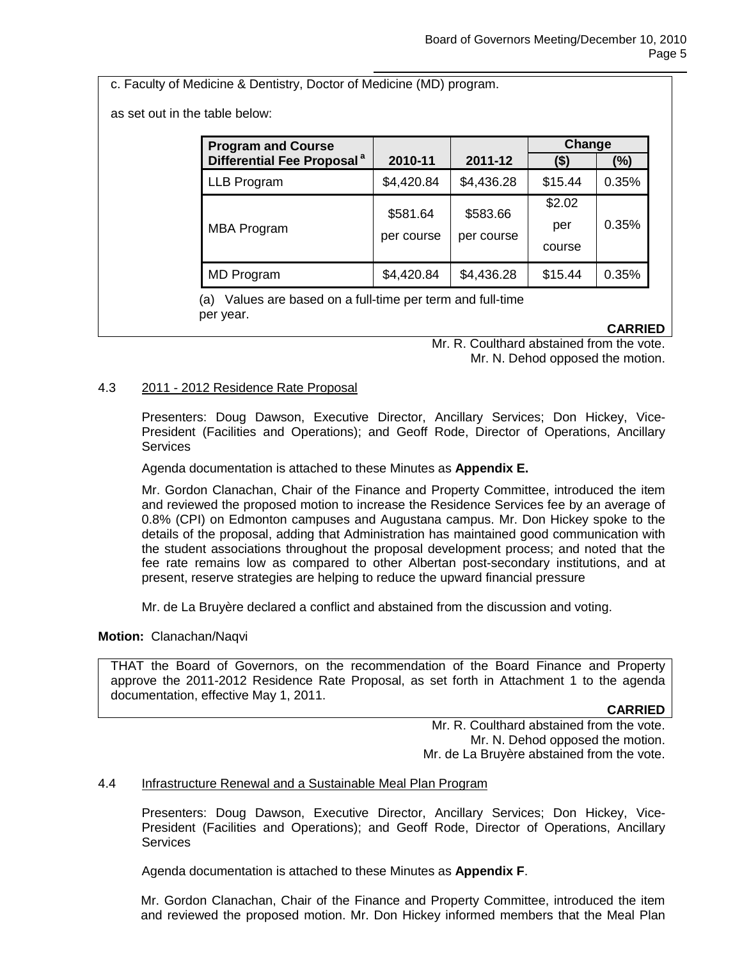c. Faculty of Medicine & Dentistry, Doctor of Medicine (MD) program.

as set out in the table below:

| <b>Program and Course</b>              |            |            | Change  |       |
|----------------------------------------|------------|------------|---------|-------|
| Differential Fee Proposal <sup>a</sup> | 2010-11    | 2011-12    | (\$)    | (%)   |
| LLB Program                            | \$4,420.84 | \$4,436.28 | \$15.44 | 0.35% |
|                                        | \$581.64   | \$583.66   | \$2.02  | 0.35% |
| <b>MBA Program</b>                     |            |            | per     |       |
|                                        | per course | per course | course  |       |
| <b>MD</b> Program                      | \$4,420.84 | \$4,436.28 | \$15.44 | 0.35% |

(a) Values are based on a full-time per term and full-time per year.

**CARRIED**

Mr. R. Coulthard abstained from the vote. Mr. N. Dehod opposed the motion.

# 4.3 2011 - 2012 Residence Rate Proposal

Presenters: Doug Dawson, Executive Director, Ancillary Services; Don Hickey, Vice-President (Facilities and Operations); and Geoff Rode, Director of Operations, Ancillary **Services** 

Agenda documentation is attached to these Minutes as **Appendix E.**

Mr. Gordon Clanachan, Chair of the Finance and Property Committee, introduced the item and reviewed the proposed motion to increase the Residence Services fee by an average of 0.8% (CPI) on Edmonton campuses and Augustana campus. Mr. Don Hickey spoke to the details of the proposal, adding that Administration has maintained good communication with the student associations throughout the proposal development process; and noted that the fee rate remains low as compared to other Albertan post-secondary institutions, and at present, reserve strategies are helping to reduce the upward financial pressure

Mr. de La Bruyère declared a conflict and abstained from the discussion and voting.

### **Motion:** Clanachan/Naqvi

THAT the Board of Governors, on the recommendation of the Board Finance and Property approve the 2011-2012 Residence Rate Proposal, as set forth in Attachment 1 to the agenda documentation, effective May 1, 2011.

**CARRIED**

Mr. R. Coulthard abstained from the vote. Mr. N. Dehod opposed the motion. Mr. de La Bruyère abstained from the vote.

### 4.4 Infrastructure Renewal and a Sustainable Meal Plan Program

Presenters: Doug Dawson, Executive Director, Ancillary Services; Don Hickey, Vice-President (Facilities and Operations); and Geoff Rode, Director of Operations, Ancillary Services

Agenda documentation is attached to these Minutes as **Appendix F**.

Mr. Gordon Clanachan, Chair of the Finance and Property Committee, introduced the item and reviewed the proposed motion. Mr. Don Hickey informed members that the Meal Plan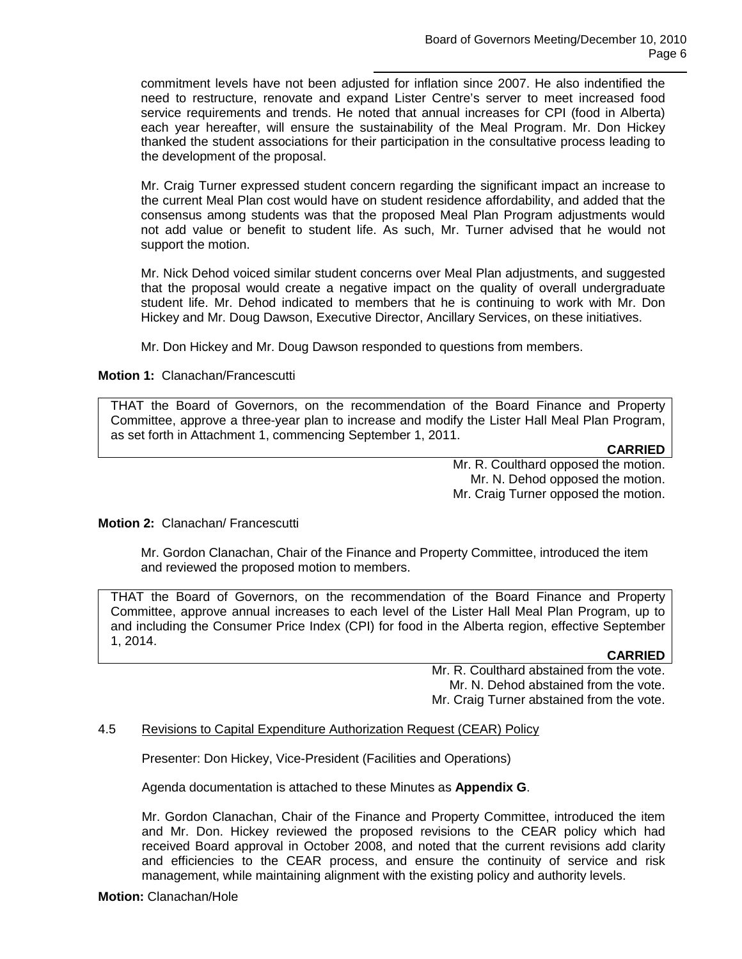commitment levels have not been adjusted for inflation since 2007. He also indentified the need to restructure, renovate and expand Lister Centre's server to meet increased food service requirements and trends. He noted that annual increases for CPI (food in Alberta) each year hereafter, will ensure the sustainability of the Meal Program. Mr. Don Hickey thanked the student associations for their participation in the consultative process leading to the development of the proposal.

Mr. Craig Turner expressed student concern regarding the significant impact an increase to the current Meal Plan cost would have on student residence affordability, and added that the consensus among students was that the proposed Meal Plan Program adjustments would not add value or benefit to student life. As such, Mr. Turner advised that he would not support the motion.

Mr. Nick Dehod voiced similar student concerns over Meal Plan adjustments, and suggested that the proposal would create a negative impact on the quality of overall undergraduate student life. Mr. Dehod indicated to members that he is continuing to work with Mr. Don Hickey and Mr. Doug Dawson, Executive Director, Ancillary Services, on these initiatives.

Mr. Don Hickey and Mr. Doug Dawson responded to questions from members.

# **Motion 1:** Clanachan/Francescutti

THAT the Board of Governors, on the recommendation of the Board Finance and Property Committee, approve a three-year plan to increase and modify the Lister Hall Meal Plan Program, as set forth in Attachment 1, commencing September 1, 2011.

**CARRIED**

Mr. R. Coulthard opposed the motion. Mr. N. Dehod opposed the motion. Mr. Craig Turner opposed the motion.

**Motion 2:** Clanachan/ Francescutti

Mr. Gordon Clanachan, Chair of the Finance and Property Committee, introduced the item and reviewed the proposed motion to members.

THAT the Board of Governors, on the recommendation of the Board Finance and Property Committee, approve annual increases to each level of the Lister Hall Meal Plan Program, up to and including the Consumer Price Index (CPI) for food in the Alberta region, effective September 1, 2014.

# **CARRIED**

Mr. R. Coulthard abstained from the vote. Mr. N. Dehod abstained from the vote. Mr. Craig Turner abstained from the vote.

# 4.5 Revisions to Capital Expenditure Authorization Request (CEAR) Policy

Presenter: Don Hickey, Vice-President (Facilities and Operations)

Agenda documentation is attached to these Minutes as **Appendix G**.

Mr. Gordon Clanachan, Chair of the Finance and Property Committee, introduced the item and Mr. Don. Hickey reviewed the proposed revisions to the CEAR policy which had received Board approval in October 2008, and noted that the current revisions add clarity and efficiencies to the CEAR process, and ensure the continuity of service and risk management, while maintaining alignment with the existing policy and authority levels.

**Motion:** Clanachan/Hole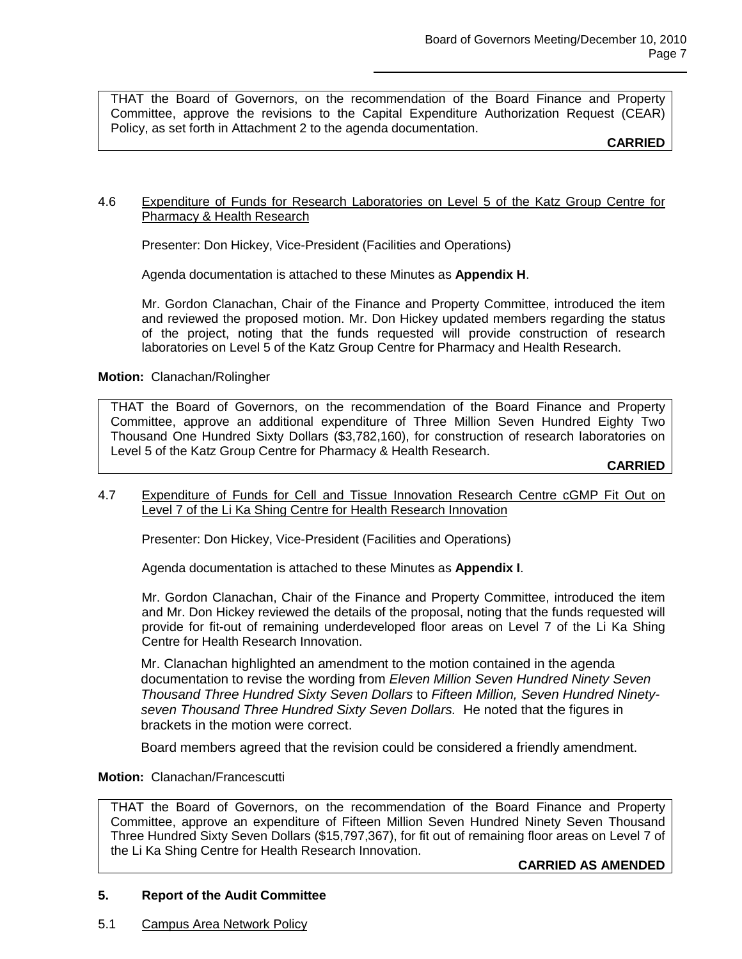THAT the Board of Governors, on the recommendation of the Board Finance and Property Committee, approve the revisions to the Capital Expenditure Authorization Request (CEAR) Policy, as set forth in Attachment 2 to the agenda documentation.

**CARRIED**

## 4.6 Expenditure of Funds for Research Laboratories on Level 5 of the Katz Group Centre for Pharmacy & Health Research

Presenter: Don Hickey, Vice-President (Facilities and Operations)

Agenda documentation is attached to these Minutes as **Appendix H**.

Mr. Gordon Clanachan, Chair of the Finance and Property Committee, introduced the item and reviewed the proposed motion. Mr. Don Hickey updated members regarding the status of the project, noting that the funds requested will provide construction of research laboratories on Level 5 of the Katz Group Centre for Pharmacy and Health Research.

**Motion:** Clanachan/Rolingher

THAT the Board of Governors, on the recommendation of the Board Finance and Property Committee, approve an additional expenditure of Three Million Seven Hundred Eighty Two Thousand One Hundred Sixty Dollars (\$3,782,160), for construction of research laboratories on Level 5 of the Katz Group Centre for Pharmacy & Health Research.

**CARRIED**

4.7 Expenditure of Funds for Cell and Tissue Innovation Research Centre cGMP Fit Out on Level 7 of the Li Ka Shing Centre for Health Research Innovation

Presenter: Don Hickey, Vice-President (Facilities and Operations)

Agenda documentation is attached to these Minutes as **Appendix I**.

Mr. Gordon Clanachan, Chair of the Finance and Property Committee, introduced the item and Mr. Don Hickey reviewed the details of the proposal, noting that the funds requested will provide for fit-out of remaining underdeveloped floor areas on Level 7 of the Li Ka Shing Centre for Health Research Innovation.

Mr. Clanachan highlighted an amendment to the motion contained in the agenda documentation to revise the wording from *Eleven Million Seven Hundred Ninety Seven Thousand Three Hundred Sixty Seven Dollars* to *Fifteen Million, Seven Hundred Ninetyseven Thousand Three Hundred Sixty Seven Dollars.* He noted that the figures in brackets in the motion were correct.

Board members agreed that the revision could be considered a friendly amendment.

**Motion:** Clanachan/Francescutti

THAT the Board of Governors, on the recommendation of the Board Finance and Property Committee, approve an expenditure of Fifteen Million Seven Hundred Ninety Seven Thousand Three Hundred Sixty Seven Dollars (\$15,797,367), for fit out of remaining floor areas on Level 7 of the Li Ka Shing Centre for Health Research Innovation.

**CARRIED AS AMENDED**

# **5. Report of the Audit Committee**

5.1 Campus Area Network Policy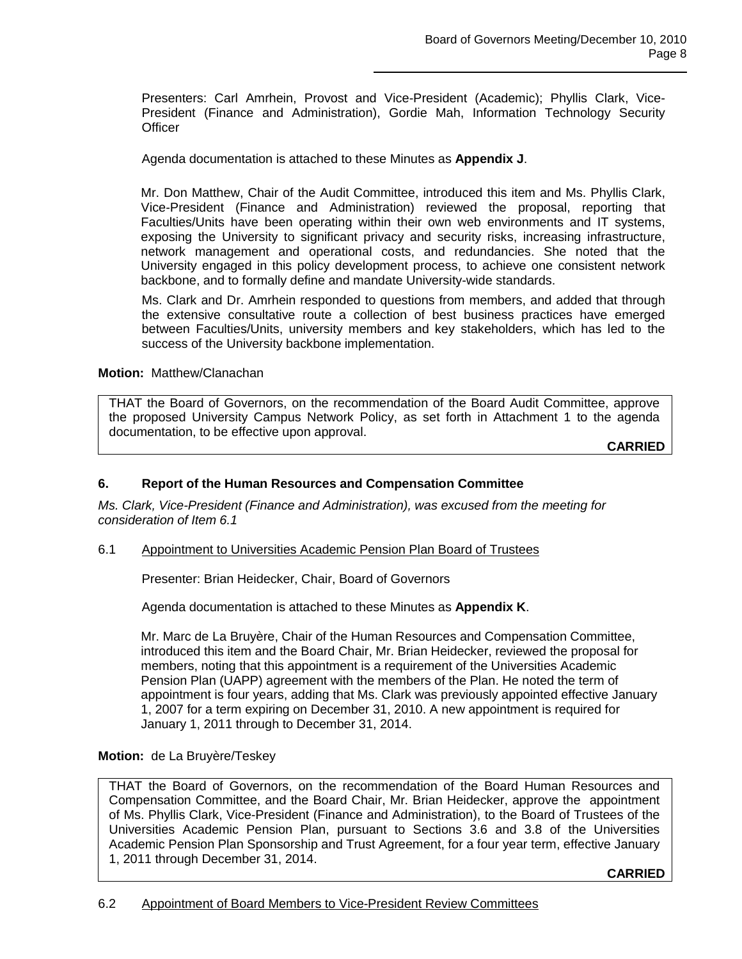Presenters: Carl Amrhein, Provost and Vice-President (Academic); Phyllis Clark, Vice-President (Finance and Administration), Gordie Mah, Information Technology Security **Officer** 

Agenda documentation is attached to these Minutes as **Appendix J**.

Mr. Don Matthew, Chair of the Audit Committee, introduced this item and Ms. Phyllis Clark, Vice-President (Finance and Administration) reviewed the proposal, reporting that Faculties/Units have been operating within their own web environments and IT systems, exposing the University to significant privacy and security risks, increasing infrastructure, network management and operational costs, and redundancies. She noted that the University engaged in this policy development process, to achieve one consistent network backbone, and to formally define and mandate University-wide standards.

Ms. Clark and Dr. Amrhein responded to questions from members, and added that through the extensive consultative route a collection of best business practices have emerged between Faculties/Units, university members and key stakeholders, which has led to the success of the University backbone implementation.

**Motion:** Matthew/Clanachan

THAT the Board of Governors, on the recommendation of the Board Audit Committee, approve the proposed University Campus Network Policy, as set forth in Attachment 1 to the agenda documentation, to be effective upon approval.

**CARRIED**

# **6. Report of the Human Resources and Compensation Committee**

*Ms. Clark, Vice-President (Finance and Administration), was excused from the meeting for consideration of Item 6.1*

# 6.1 Appointment to Universities Academic Pension Plan Board of Trustees

Presenter: Brian Heidecker, Chair, Board of Governors

Agenda documentation is attached to these Minutes as **Appendix K**.

Mr. Marc de La Bruyère, Chair of the Human Resources and Compensation Committee, introduced this item and the Board Chair, Mr. Brian Heidecker, reviewed the proposal for members, noting that this appointment is a requirement of the Universities Academic Pension Plan (UAPP) agreement with the members of the Plan. He noted the term of appointment is four years, adding that Ms. Clark was previously appointed effective January 1, 2007 for a term expiring on December 31, 2010. A new appointment is required for January 1, 2011 through to December 31, 2014.

# **Motion:** de La Bruyère/Teskey

THAT the Board of Governors, on the recommendation of the Board Human Resources and Compensation Committee, and the Board Chair, Mr. Brian Heidecker, approve the appointment of Ms. Phyllis Clark, Vice-President (Finance and Administration), to the Board of Trustees of the Universities Academic Pension Plan, pursuant to Sections 3.6 and 3.8 of the Universities Academic Pension Plan Sponsorship and Trust Agreement, for a four year term, effective January 1, 2011 through December 31, 2014.

**CARRIED**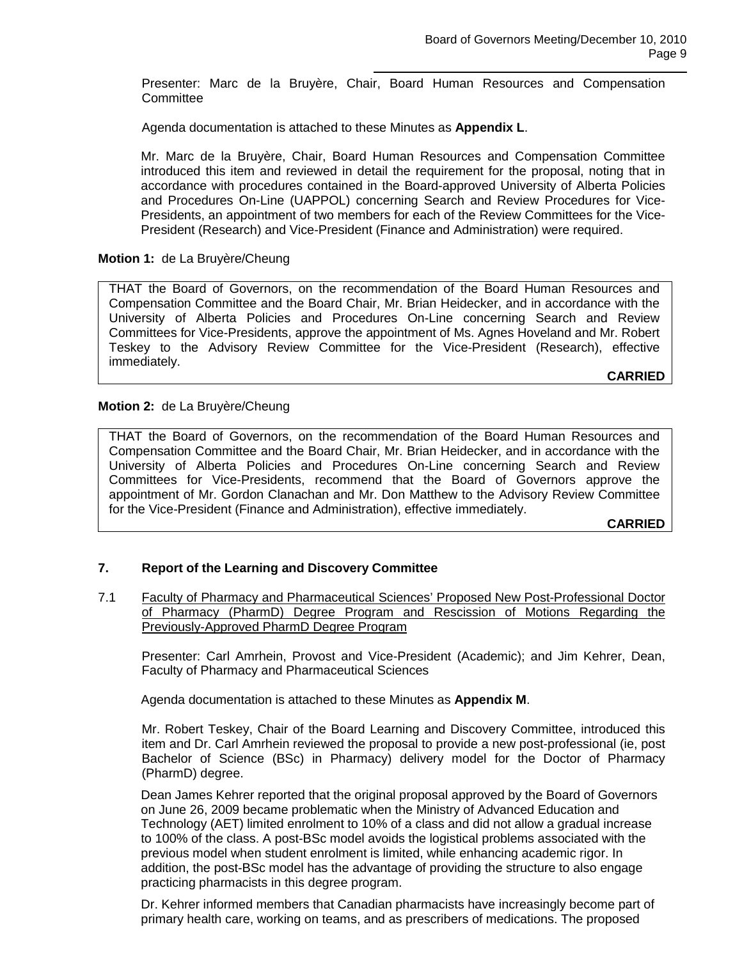Presenter: Marc de la Bruyère, Chair, Board Human Resources and Compensation **Committee** 

Agenda documentation is attached to these Minutes as **Appendix L**.

Mr. Marc de la Bruyère, Chair, Board Human Resources and Compensation Committee introduced this item and reviewed in detail the requirement for the proposal, noting that in accordance with procedures contained in the Board-approved University of Alberta Policies and Procedures On-Line (UAPPOL) concerning Search and Review Procedures for Vice-Presidents, an appointment of two members for each of the Review Committees for the Vice-President (Research) and Vice-President (Finance and Administration) were required.

# **Motion 1:** de La Bruyère/Cheung

THAT the Board of Governors, on the recommendation of the Board Human Resources and Compensation Committee and the Board Chair, Mr. Brian Heidecker, and in accordance with the University of Alberta Policies and Procedures On-Line concerning Search and Review Committees for Vice-Presidents, approve the appointment of Ms. Agnes Hoveland and Mr. Robert Teskey to the Advisory Review Committee for the Vice-President (Research), effective immediately.

**CARRIED**

# **Motion 2:** de La Bruyère/Cheung

THAT the Board of Governors, on the recommendation of the Board Human Resources and Compensation Committee and the Board Chair, Mr. Brian Heidecker, and in accordance with the University of Alberta Policies and Procedures On-Line concerning Search and Review Committees for Vice-Presidents, recommend that the Board of Governors approve the appointment of Mr. Gordon Clanachan and Mr. Don Matthew to the Advisory Review Committee for the Vice-President (Finance and Administration), effective immediately.

**CARRIED**

# **7. Report of the Learning and Discovery Committee**

7.1 Faculty of Pharmacy and Pharmaceutical Sciences' Proposed New Post-Professional Doctor of Pharmacy (PharmD) Degree Program and Rescission of Motions Regarding the Previously-Approved PharmD Degree Program

Presenter: Carl Amrhein, Provost and Vice-President (Academic); and Jim Kehrer, Dean, Faculty of Pharmacy and Pharmaceutical Sciences

Agenda documentation is attached to these Minutes as **Appendix M**.

Mr. Robert Teskey, Chair of the Board Learning and Discovery Committee, introduced this item and Dr. Carl Amrhein reviewed the proposal to provide a new post-professional (ie, post Bachelor of Science (BSc) in Pharmacy) delivery model for the Doctor of Pharmacy (PharmD) degree.

Dean James Kehrer reported that the original proposal approved by the Board of Governors on June 26, 2009 became problematic when the Ministry of Advanced Education and Technology (AET) limited enrolment to 10% of a class and did not allow a gradual increase to 100% of the class. A post-BSc model avoids the logistical problems associated with the previous model when student enrolment is limited, while enhancing academic rigor. In addition, the post-BSc model has the advantage of providing the structure to also engage practicing pharmacists in this degree program.

Dr. Kehrer informed members that Canadian pharmacists have increasingly become part of primary health care, working on teams, and as prescribers of medications. The proposed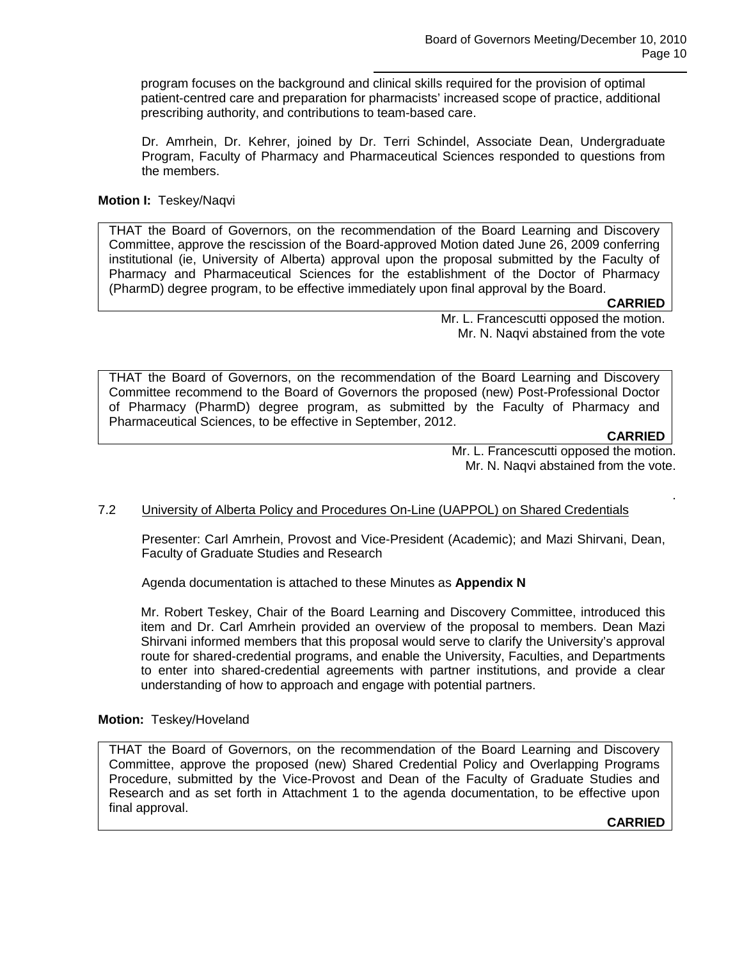program focuses on the background and clinical skills required for the provision of optimal patient-centred care and preparation for pharmacists' increased scope of practice, additional prescribing authority, and contributions to team-based care.

Dr. Amrhein, Dr. Kehrer, joined by Dr. Terri Schindel, Associate Dean, Undergraduate Program, Faculty of Pharmacy and Pharmaceutical Sciences responded to questions from the members.

# **Motion I:** Teskey/Naqvi

THAT the Board of Governors, on the recommendation of the Board Learning and Discovery Committee, approve the rescission of the Board-approved Motion dated June 26, 2009 conferring institutional (ie, University of Alberta) approval upon the proposal submitted by the Faculty of Pharmacy and Pharmaceutical Sciences for the establishment of the Doctor of Pharmacy (PharmD) degree program, to be effective immediately upon final approval by the Board.

**CARRIED**

Mr. L. Francescutti opposed the motion. Mr. N. Naqvi abstained from the vote

THAT the Board of Governors, on the recommendation of the Board Learning and Discovery Committee recommend to the Board of Governors the proposed (new) Post-Professional Doctor of Pharmacy (PharmD) degree program, as submitted by the Faculty of Pharmacy and Pharmaceutical Sciences, to be effective in September, 2012.

**CARRIED**

.

Mr. L. Francescutti opposed the motion. Mr. N. Naqvi abstained from the vote.

# 7.2 University of Alberta Policy and Procedures On-Line (UAPPOL) on Shared Credentials

Presenter: Carl Amrhein, Provost and Vice-President (Academic); and Mazi Shirvani, Dean, Faculty of Graduate Studies and Research

Agenda documentation is attached to these Minutes as **Appendix N**

Mr. Robert Teskey, Chair of the Board Learning and Discovery Committee, introduced this item and Dr. Carl Amrhein provided an overview of the proposal to members. Dean Mazi Shirvani informed members that this proposal would serve to clarify the University's approval route for shared-credential programs, and enable the University, Faculties, and Departments to enter into shared-credential agreements with partner institutions, and provide a clear understanding of how to approach and engage with potential partners.

# **Motion:** Teskey/Hoveland

THAT the Board of Governors, on the recommendation of the Board Learning and Discovery Committee, approve the proposed (new) Shared Credential Policy and Overlapping Programs Procedure, submitted by the Vice-Provost and Dean of the Faculty of Graduate Studies and Research and as set forth in Attachment 1 to the agenda documentation, to be effective upon final approval.

**CARRIED**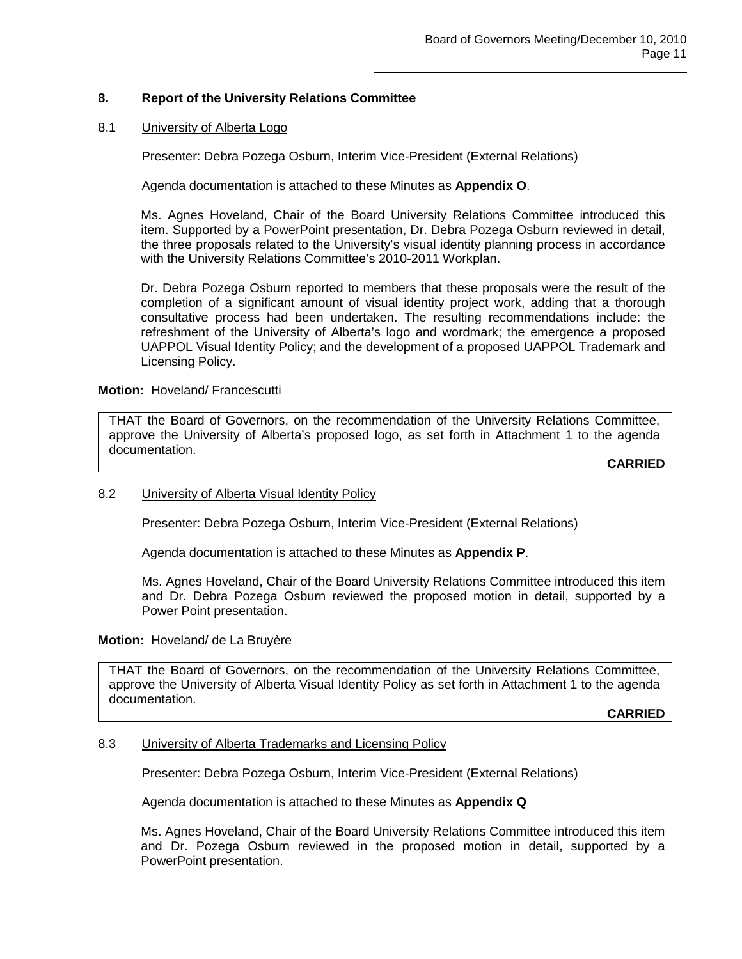# **8. Report of the University Relations Committee**

## 8.1 University of Alberta Logo

Presenter: Debra Pozega Osburn, Interim Vice-President (External Relations)

Agenda documentation is attached to these Minutes as **Appendix O**.

Ms. Agnes Hoveland, Chair of the Board University Relations Committee introduced this item. Supported by a PowerPoint presentation, Dr. Debra Pozega Osburn reviewed in detail, the three proposals related to the University's visual identity planning process in accordance with the University Relations Committee's 2010-2011 Workplan.

Dr. Debra Pozega Osburn reported to members that these proposals were the result of the completion of a significant amount of visual identity project work, adding that a thorough consultative process had been undertaken. The resulting recommendations include: the refreshment of the University of Alberta's logo and wordmark; the emergence a proposed UAPPOL Visual Identity Policy; and the development of a proposed UAPPOL Trademark and Licensing Policy.

### **Motion:** Hoveland/ Francescutti

THAT the Board of Governors, on the recommendation of the University Relations Committee, approve the University of Alberta's proposed logo, as set forth in Attachment 1 to the agenda documentation.

**CARRIED**

### 8.2 University of Alberta Visual Identity Policy

Presenter: Debra Pozega Osburn, Interim Vice-President (External Relations)

Agenda documentation is attached to these Minutes as **Appendix P**.

Ms. Agnes Hoveland, Chair of the Board University Relations Committee introduced this item and Dr. Debra Pozega Osburn reviewed the proposed motion in detail, supported by a Power Point presentation.

### **Motion:** Hoveland/ de La Bruyère

THAT the Board of Governors, on the recommendation of the University Relations Committee, approve the University of Alberta Visual Identity Policy as set forth in Attachment 1 to the agenda documentation.

**CARRIED**

### 8.3 University of Alberta Trademarks and Licensing Policy

Presenter: Debra Pozega Osburn, Interim Vice-President (External Relations)

Agenda documentation is attached to these Minutes as **Appendix Q**

Ms. Agnes Hoveland, Chair of the Board University Relations Committee introduced this item and Dr. Pozega Osburn reviewed in the proposed motion in detail, supported by a PowerPoint presentation.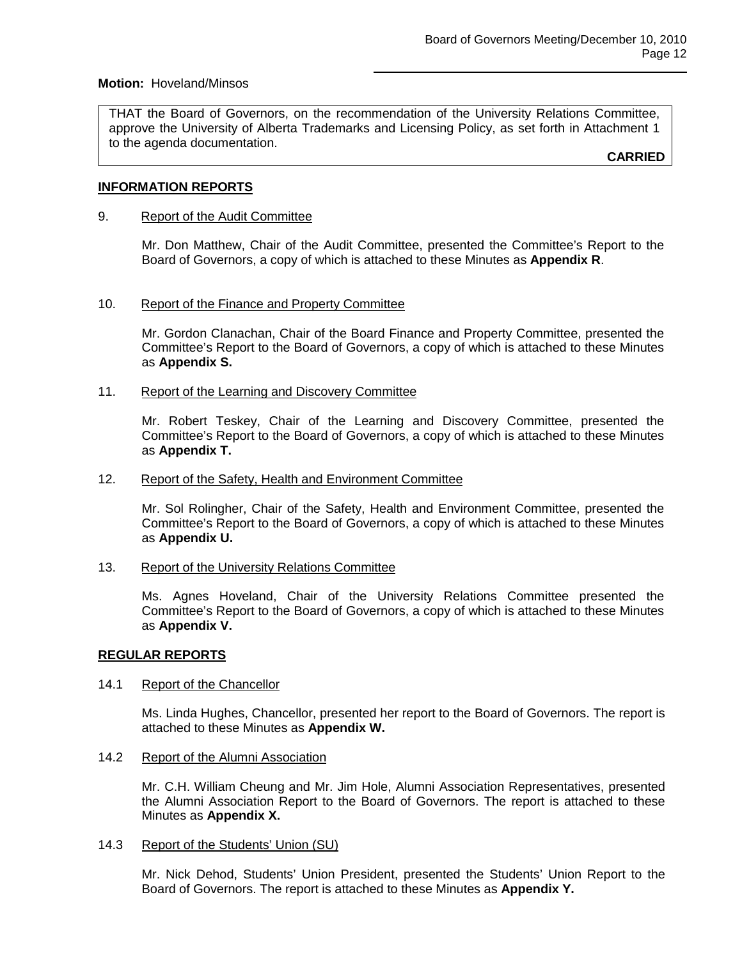### **Motion:** Hoveland/Minsos

THAT the Board of Governors, on the recommendation of the University Relations Committee, approve the University of Alberta Trademarks and Licensing Policy, as set forth in Attachment 1 to the agenda documentation.

**CARRIED**

## **INFORMATION REPORTS**

### 9. Report of the Audit Committee

Mr. Don Matthew, Chair of the Audit Committee, presented the Committee's Report to the Board of Governors, a copy of which is attached to these Minutes as **Appendix R**.

## 10. Report of the Finance and Property Committee

Mr. Gordon Clanachan, Chair of the Board Finance and Property Committee, presented the Committee's Report to the Board of Governors, a copy of which is attached to these Minutes as **Appendix S.**

## 11. Report of the Learning and Discovery Committee

Mr. Robert Teskey, Chair of the Learning and Discovery Committee, presented the Committee's Report to the Board of Governors, a copy of which is attached to these Minutes as **Appendix T.**

### 12. Report of the Safety, Health and Environment Committee

Mr. Sol Rolingher, Chair of the Safety, Health and Environment Committee, presented the Committee's Report to the Board of Governors, a copy of which is attached to these Minutes as **Appendix U.**

### 13. Report of the University Relations Committee

Ms. Agnes Hoveland, Chair of the University Relations Committee presented the Committee's Report to the Board of Governors, a copy of which is attached to these Minutes as **Appendix V.**

### **REGULAR REPORTS**

### 14.1 Report of the Chancellor

Ms. Linda Hughes, Chancellor, presented her report to the Board of Governors. The report is attached to these Minutes as **Appendix W.**

### 14.2 Report of the Alumni Association

Mr. C.H. William Cheung and Mr. Jim Hole, Alumni Association Representatives, presented the Alumni Association Report to the Board of Governors. The report is attached to these Minutes as **Appendix X.**

### 14.3 Report of the Students' Union (SU)

Mr. Nick Dehod, Students' Union President, presented the Students' Union Report to the Board of Governors. The report is attached to these Minutes as **Appendix Y.**